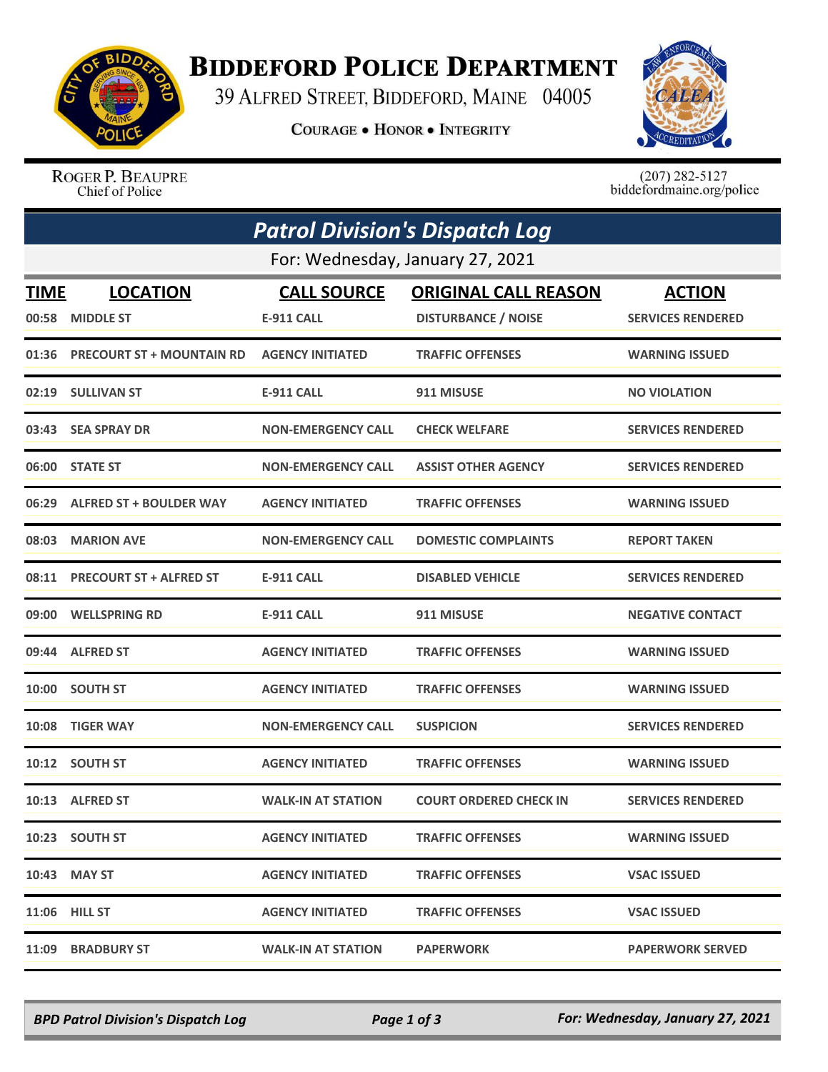

## **BIDDEFORD POLICE DEPARTMENT**

39 ALFRED STREET, BIDDEFORD, MAINE 04005

**COURAGE . HONOR . INTEGRITY** 



ROGER P. BEAUPRE Chief of Police

 $(207)$  282-5127<br>biddefordmaine.org/police

| <b>Patrol Division's Dispatch Log</b> |                                  |                           |                               |                          |  |  |  |
|---------------------------------------|----------------------------------|---------------------------|-------------------------------|--------------------------|--|--|--|
|                                       | For: Wednesday, January 27, 2021 |                           |                               |                          |  |  |  |
| <b>TIME</b>                           | <b>LOCATION</b>                  | <b>CALL SOURCE</b>        | <b>ORIGINAL CALL REASON</b>   | <b>ACTION</b>            |  |  |  |
| 00:58                                 | <b>MIDDLE ST</b>                 | <b>E-911 CALL</b>         | <b>DISTURBANCE / NOISE</b>    | <b>SERVICES RENDERED</b> |  |  |  |
| 01:36                                 | <b>PRECOURT ST + MOUNTAIN RD</b> | <b>AGENCY INITIATED</b>   | <b>TRAFFIC OFFENSES</b>       | <b>WARNING ISSUED</b>    |  |  |  |
| 02:19                                 | <b>SULLIVAN ST</b>               | <b>E-911 CALL</b>         | 911 MISUSE                    | <b>NO VIOLATION</b>      |  |  |  |
|                                       | 03:43 SEA SPRAY DR               | <b>NON-EMERGENCY CALL</b> | <b>CHECK WELFARE</b>          | <b>SERVICES RENDERED</b> |  |  |  |
|                                       | 06:00 STATE ST                   | <b>NON-EMERGENCY CALL</b> | <b>ASSIST OTHER AGENCY</b>    | <b>SERVICES RENDERED</b> |  |  |  |
| 06:29                                 | <b>ALFRED ST + BOULDER WAY</b>   | <b>AGENCY INITIATED</b>   | <b>TRAFFIC OFFENSES</b>       | <b>WARNING ISSUED</b>    |  |  |  |
| 08:03                                 | <b>MARION AVE</b>                | <b>NON-EMERGENCY CALL</b> | <b>DOMESTIC COMPLAINTS</b>    | <b>REPORT TAKEN</b>      |  |  |  |
| 08:11                                 | <b>PRECOURT ST + ALFRED ST</b>   | <b>E-911 CALL</b>         | <b>DISABLED VEHICLE</b>       | <b>SERVICES RENDERED</b> |  |  |  |
| 09:00                                 | <b>WELLSPRING RD</b>             | <b>E-911 CALL</b>         | 911 MISUSE                    | <b>NEGATIVE CONTACT</b>  |  |  |  |
| 09:44                                 | <b>ALFRED ST</b>                 | <b>AGENCY INITIATED</b>   | <b>TRAFFIC OFFENSES</b>       | <b>WARNING ISSUED</b>    |  |  |  |
| 10:00                                 | <b>SOUTH ST</b>                  | <b>AGENCY INITIATED</b>   | <b>TRAFFIC OFFENSES</b>       | <b>WARNING ISSUED</b>    |  |  |  |
| 10:08                                 | <b>TIGER WAY</b>                 | <b>NON-EMERGENCY CALL</b> | <b>SUSPICION</b>              | <b>SERVICES RENDERED</b> |  |  |  |
| 10:12                                 | <b>SOUTH ST</b>                  | <b>AGENCY INITIATED</b>   | <b>TRAFFIC OFFENSES</b>       | <b>WARNING ISSUED</b>    |  |  |  |
|                                       | 10:13 ALFRED ST                  | <b>WALK-IN AT STATION</b> | <b>COURT ORDERED CHECK IN</b> | <b>SERVICES RENDERED</b> |  |  |  |
|                                       | 10:23 SOUTH ST                   | <b>AGENCY INITIATED</b>   | <b>TRAFFIC OFFENSES</b>       | <b>WARNING ISSUED</b>    |  |  |  |
|                                       | 10:43 MAY ST                     | <b>AGENCY INITIATED</b>   | <b>TRAFFIC OFFENSES</b>       | <b>VSAC ISSUED</b>       |  |  |  |
|                                       | 11:06 HILL ST                    | <b>AGENCY INITIATED</b>   | <b>TRAFFIC OFFENSES</b>       | <b>VSAC ISSUED</b>       |  |  |  |
|                                       | 11:09 BRADBURY ST                | <b>WALK-IN AT STATION</b> | <b>PAPERWORK</b>              | <b>PAPERWORK SERVED</b>  |  |  |  |

*BPD Patrol Division's Dispatch Log Page 1 of 3 For: Wednesday, January 27, 2021*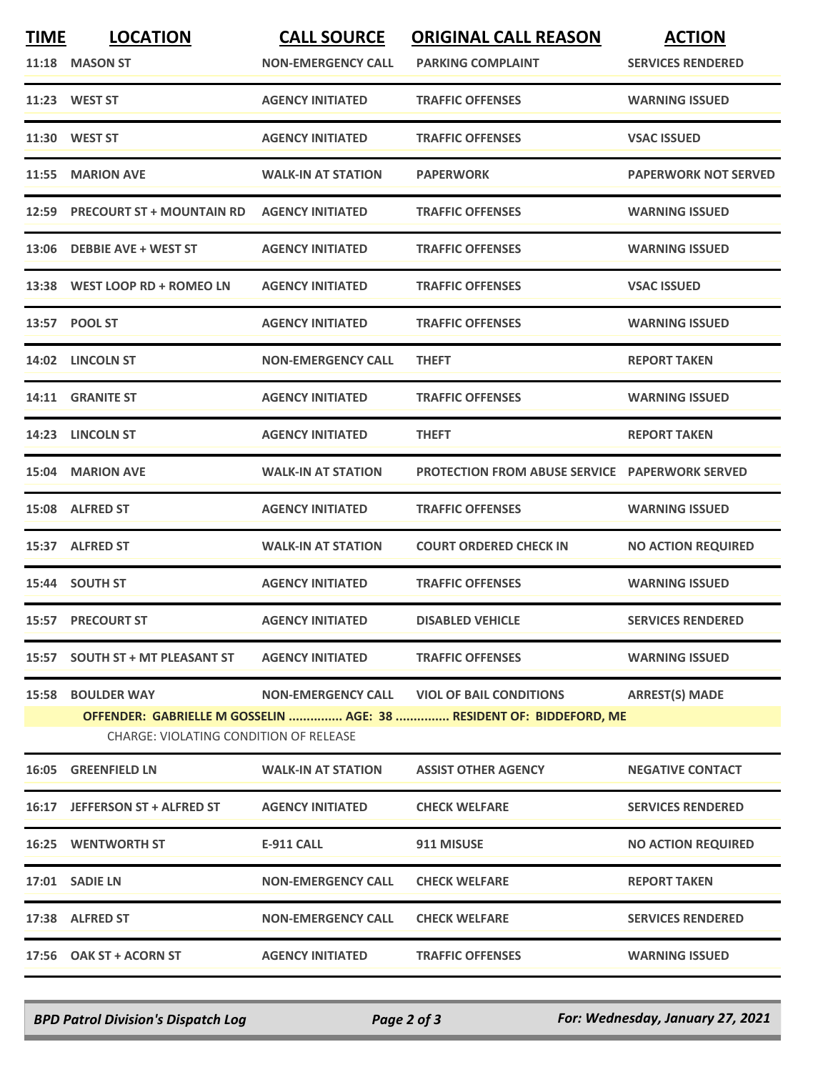| <b>TIME</b> | <b>LOCATION</b><br>11:18 MASON ST                                                                                                                                                                                                 | <b>CALL SOURCE</b><br><b>NON-EMERGENCY CALL</b> | <b>ORIGINAL CALL REASON</b><br><b>PARKING COMPLAINT</b> | <b>ACTION</b><br><b>SERVICES RENDERED</b> |  |  |
|-------------|-----------------------------------------------------------------------------------------------------------------------------------------------------------------------------------------------------------------------------------|-------------------------------------------------|---------------------------------------------------------|-------------------------------------------|--|--|
|             | 11:23 WEST ST                                                                                                                                                                                                                     | <b>AGENCY INITIATED</b>                         | <b>TRAFFIC OFFENSES</b>                                 | <b>WARNING ISSUED</b>                     |  |  |
|             | 11:30 WEST ST                                                                                                                                                                                                                     | <b>AGENCY INITIATED</b>                         | <b>TRAFFIC OFFENSES</b>                                 | <b>VSAC ISSUED</b>                        |  |  |
|             | 11:55 MARION AVE                                                                                                                                                                                                                  | <b>WALK-IN AT STATION</b>                       | <b>PAPERWORK</b>                                        | <b>PAPERWORK NOT SERVED</b>               |  |  |
|             | 12:59 PRECOURT ST + MOUNTAIN RD                                                                                                                                                                                                   | <b>AGENCY INITIATED</b>                         | <b>TRAFFIC OFFENSES</b>                                 | <b>WARNING ISSUED</b>                     |  |  |
|             | 13:06 DEBBIE AVE + WEST ST                                                                                                                                                                                                        | <b>AGENCY INITIATED</b>                         | <b>TRAFFIC OFFENSES</b>                                 | <b>WARNING ISSUED</b>                     |  |  |
|             | 13:38 WEST LOOP RD + ROMEO LN                                                                                                                                                                                                     | <b>AGENCY INITIATED</b>                         | <b>TRAFFIC OFFENSES</b>                                 | <b>VSAC ISSUED</b>                        |  |  |
|             | 13:57 POOL ST                                                                                                                                                                                                                     | <b>AGENCY INITIATED</b>                         | <b>TRAFFIC OFFENSES</b>                                 | <b>WARNING ISSUED</b>                     |  |  |
|             | 14:02 LINCOLN ST                                                                                                                                                                                                                  | <b>NON-EMERGENCY CALL</b>                       | <b>THEFT</b>                                            | <b>REPORT TAKEN</b>                       |  |  |
| 14:11       | <b>GRANITE ST</b>                                                                                                                                                                                                                 | <b>AGENCY INITIATED</b>                         | <b>TRAFFIC OFFENSES</b>                                 | <b>WARNING ISSUED</b>                     |  |  |
|             | 14:23 LINCOLN ST                                                                                                                                                                                                                  | <b>AGENCY INITIATED</b>                         | <b>THEFT</b>                                            | <b>REPORT TAKEN</b>                       |  |  |
|             | 15:04 MARION AVE                                                                                                                                                                                                                  | <b>WALK-IN AT STATION</b>                       | <b>PROTECTION FROM ABUSE SERVICE PAPERWORK SERVED</b>   |                                           |  |  |
|             | 15:08 ALFRED ST                                                                                                                                                                                                                   | <b>AGENCY INITIATED</b>                         | <b>TRAFFIC OFFENSES</b>                                 | <b>WARNING ISSUED</b>                     |  |  |
|             | 15:37 ALFRED ST                                                                                                                                                                                                                   | <b>WALK-IN AT STATION</b>                       | <b>COURT ORDERED CHECK IN</b>                           | <b>NO ACTION REQUIRED</b>                 |  |  |
|             | 15:44 SOUTH ST                                                                                                                                                                                                                    | <b>AGENCY INITIATED</b>                         | <b>TRAFFIC OFFENSES</b>                                 | <b>WARNING ISSUED</b>                     |  |  |
|             | <b>15:57 PRECOURT ST</b>                                                                                                                                                                                                          | <b>AGENCY INITIATED</b>                         | <b>DISABLED VEHICLE</b>                                 | <b>SERVICES RENDERED</b>                  |  |  |
|             | 15:57 SOUTH ST + MT PLEASANT ST                                                                                                                                                                                                   | <b>AGENCY INITIATED</b>                         | <b>TRAFFIC OFFENSES</b>                                 | <b>WARNING ISSUED</b>                     |  |  |
|             | <b>ARREST(S) MADE</b><br><b>15:58 BOULDER WAY</b><br><b>NON-EMERGENCY CALL</b><br><b>VIOL OF BAIL CONDITIONS</b><br>OFFENDER: GABRIELLE M GOSSELIN  AGE: 38  RESIDENT OF: BIDDEFORD, ME<br>CHARGE: VIOLATING CONDITION OF RELEASE |                                                 |                                                         |                                           |  |  |
|             | 16:05 GREENFIELD LN                                                                                                                                                                                                               | <b>WALK-IN AT STATION</b>                       | <b>ASSIST OTHER AGENCY</b>                              | <b>NEGATIVE CONTACT</b>                   |  |  |
|             | 16:17 JEFFERSON ST + ALFRED ST                                                                                                                                                                                                    | <b>AGENCY INITIATED</b>                         | <b>CHECK WELFARE</b>                                    | <b>SERVICES RENDERED</b>                  |  |  |
|             | <b>16:25 WENTWORTH ST</b>                                                                                                                                                                                                         | <b>E-911 CALL</b>                               | 911 MISUSE                                              | <b>NO ACTION REQUIRED</b>                 |  |  |
|             | 17:01 SADIE LN                                                                                                                                                                                                                    | <b>NON-EMERGENCY CALL</b>                       | <b>CHECK WELFARE</b>                                    | <b>REPORT TAKEN</b>                       |  |  |
|             | 17:38 ALFRED ST                                                                                                                                                                                                                   | <b>NON-EMERGENCY CALL</b>                       | <b>CHECK WELFARE</b>                                    | <b>SERVICES RENDERED</b>                  |  |  |
|             | 17:56 OAK ST + ACORN ST                                                                                                                                                                                                           | <b>AGENCY INITIATED</b>                         | <b>TRAFFIC OFFENSES</b>                                 | <b>WARNING ISSUED</b>                     |  |  |

*BPD Patrol Division's Dispatch Log Page 2 of 3 For: Wednesday, January 27, 2021*